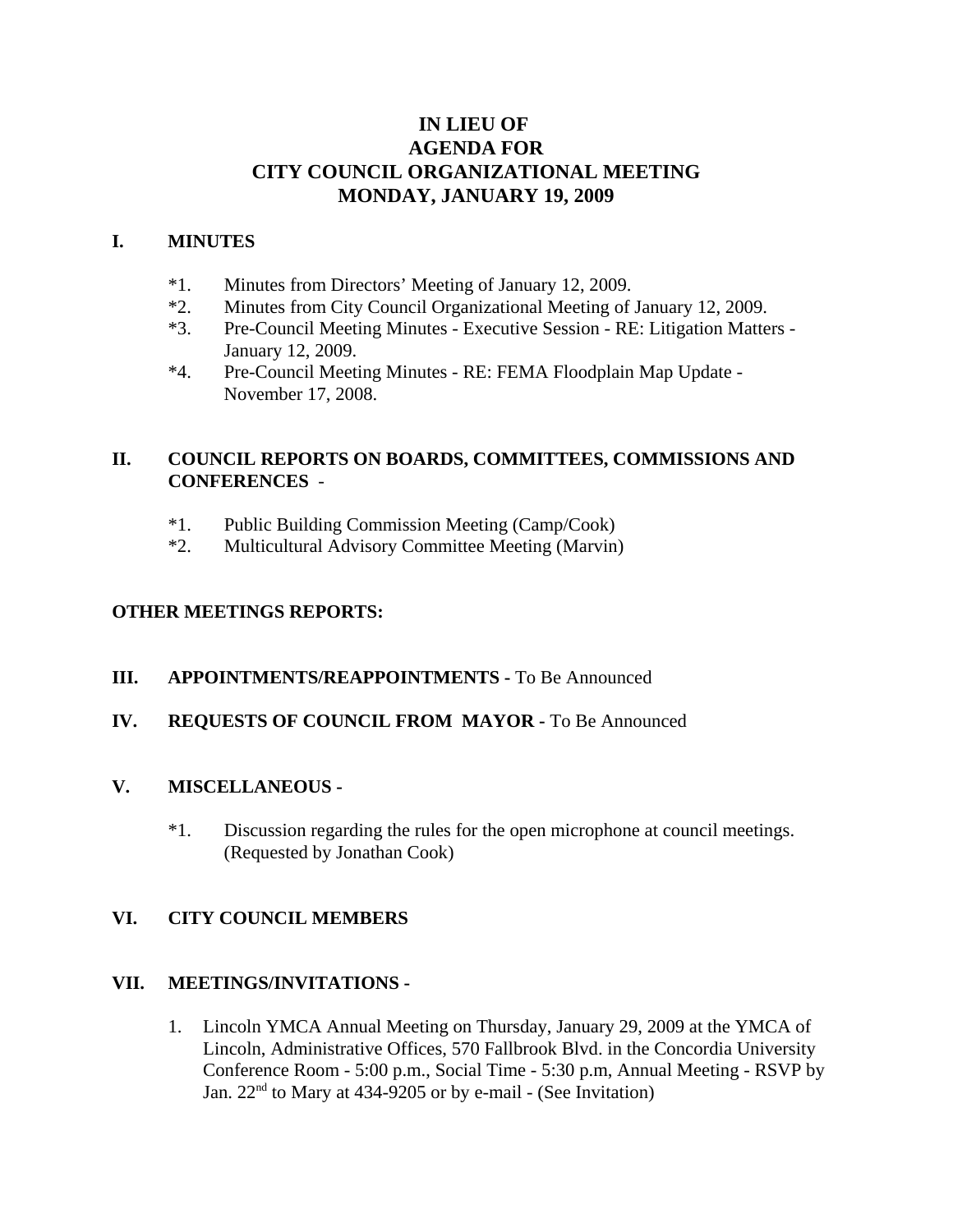# **IN LIEU OF AGENDA FOR CITY COUNCIL ORGANIZATIONAL MEETING MONDAY, JANUARY 19, 2009**

#### **I. MINUTES**

- \*1. Minutes from Directors' Meeting of January 12, 2009.
- \*2. Minutes from City Council Organizational Meeting of January 12, 2009.
- \*3. Pre-Council Meeting Minutes Executive Session RE: Litigation Matters January 12, 2009.
- \*4. Pre-Council Meeting Minutes RE: FEMA Floodplain Map Update November 17, 2008.

## **II. COUNCIL REPORTS ON BOARDS, COMMITTEES, COMMISSIONS AND CONFERENCES** -

- \*1. Public Building Commission Meeting (Camp/Cook)
- \*2. Multicultural Advisory Committee Meeting (Marvin)

## **OTHER MEETINGS REPORTS:**

#### **III.** APPOINTMENTS/REAPPOINTMENTS - To Be Announced

### **IV. REQUESTS OF COUNCIL FROM MAYOR -** To Be Announced

#### **V. MISCELLANEOUS -**

\*1. Discussion regarding the rules for the open microphone at council meetings. (Requested by Jonathan Cook)

#### **VI. CITY COUNCIL MEMBERS**

#### **VII. MEETINGS/INVITATIONS -**

1. Lincoln YMCA Annual Meeting on Thursday, January 29, 2009 at the YMCA of Lincoln, Administrative Offices, 570 Fallbrook Blvd. in the Concordia University Conference Room - 5:00 p.m., Social Time - 5:30 p.m, Annual Meeting - RSVP by Jan. 22<sup>nd</sup> to Mary at 434-9205 or by e-mail - (See Invitation)